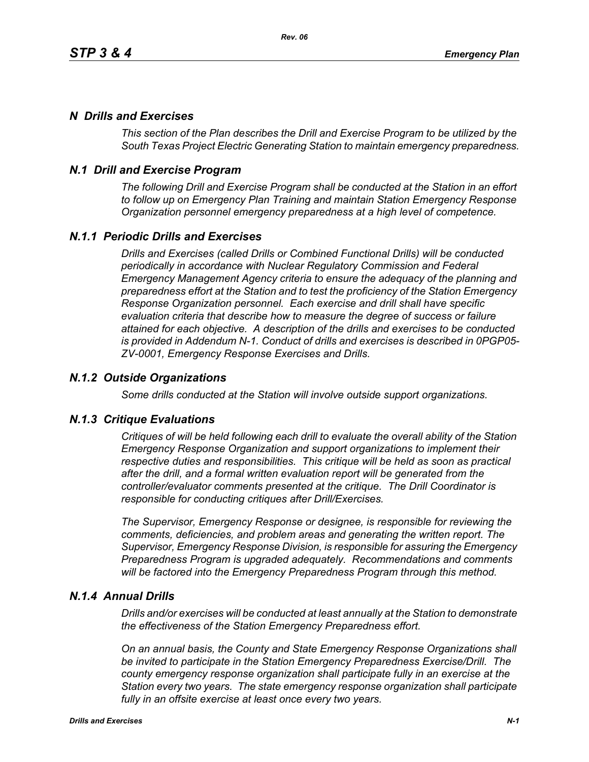# *N Drills and Exercises*

*This section of the Plan describes the Drill and Exercise Program to be utilized by the South Texas Project Electric Generating Station to maintain emergency preparedness.*

# *N.1 Drill and Exercise Program*

*The following Drill and Exercise Program shall be conducted at the Station in an effort to follow up on Emergency Plan Training and maintain Station Emergency Response Organization personnel emergency preparedness at a high level of competence.*

# *N.1.1 Periodic Drills and Exercises*

*Drills and Exercises (called Drills or Combined Functional Drills) will be conducted periodically in accordance with Nuclear Regulatory Commission and Federal Emergency Management Agency criteria to ensure the adequacy of the planning and preparedness effort at the Station and to test the proficiency of the Station Emergency Response Organization personnel. Each exercise and drill shall have specific evaluation criteria that describe how to measure the degree of success or failure attained for each objective. A description of the drills and exercises to be conducted is provided in Addendum N-1. Conduct of drills and exercises is described in 0PGP05- ZV-0001, Emergency Response Exercises and Drills.*

## *N.1.2 Outside Organizations*

*Some drills conducted at the Station will involve outside support organizations.* 

### *N.1.3 Critique Evaluations*

*Critiques of will be held following each drill to evaluate the overall ability of the Station Emergency Response Organization and support organizations to implement their respective duties and responsibilities. This critique will be held as soon as practical after the drill, and a formal written evaluation report will be generated from the controller/evaluator comments presented at the critique. The Drill Coordinator is responsible for conducting critiques after Drill/Exercises.* 

*The Supervisor, Emergency Response or designee, is responsible for reviewing the comments, deficiencies, and problem areas and generating the written report. The Supervisor, Emergency Response Division, is responsible for assuring the Emergency Preparedness Program is upgraded adequately. Recommendations and comments will be factored into the Emergency Preparedness Program through this method.* 

### *N.1.4 Annual Drills*

*Drills and/or exercises will be conducted at least annually at the Station to demonstrate the effectiveness of the Station Emergency Preparedness effort.* 

*On an annual basis, the County and State Emergency Response Organizations shall be invited to participate in the Station Emergency Preparedness Exercise/Drill. The county emergency response organization shall participate fully in an exercise at the Station every two years. The state emergency response organization shall participate fully in an offsite exercise at least once every two years.*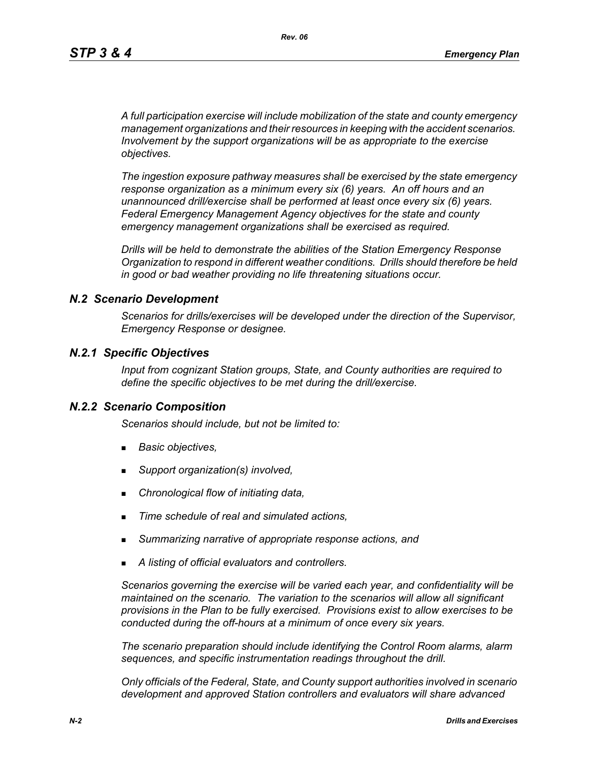*A full participation exercise will include mobilization of the state and county emergency management organizations and their resources in keeping with the accident scenarios. Involvement by the support organizations will be as appropriate to the exercise objectives.* 

*The ingestion exposure pathway measures shall be exercised by the state emergency response organization as a minimum every six (6) years. An off hours and an unannounced drill/exercise shall be performed at least once every six (6) years. Federal Emergency Management Agency objectives for the state and county emergency management organizations shall be exercised as required.*

*Drills will be held to demonstrate the abilities of the Station Emergency Response Organization to respond in different weather conditions. Drills should therefore be held in good or bad weather providing no life threatening situations occur.*

#### *N.2 Scenario Development*

*Scenarios for drills/exercises will be developed under the direction of the Supervisor, Emergency Response or designee.* 

#### *N.2.1 Specific Objectives*

*Input from cognizant Station groups, State, and County authorities are required to define the specific objectives to be met during the drill/exercise.*

#### *N.2.2 Scenario Composition*

*Scenarios should include, but not be limited to:*

- *Basic objectives,*
- *Support organization(s) involved,*
- *Chronological flow of initiating data,*
- *Time schedule of real and simulated actions,*
- *Summarizing narrative of appropriate response actions, and*
- *A listing of official evaluators and controllers.*

*Scenarios governing the exercise will be varied each year, and confidentiality will be maintained on the scenario. The variation to the scenarios will allow all significant provisions in the Plan to be fully exercised. Provisions exist to allow exercises to be conducted during the off-hours at a minimum of once every six years.*

*The scenario preparation should include identifying the Control Room alarms, alarm sequences, and specific instrumentation readings throughout the drill.*

*Only officials of the Federal, State, and County support authorities involved in scenario development and approved Station controllers and evaluators will share advanced*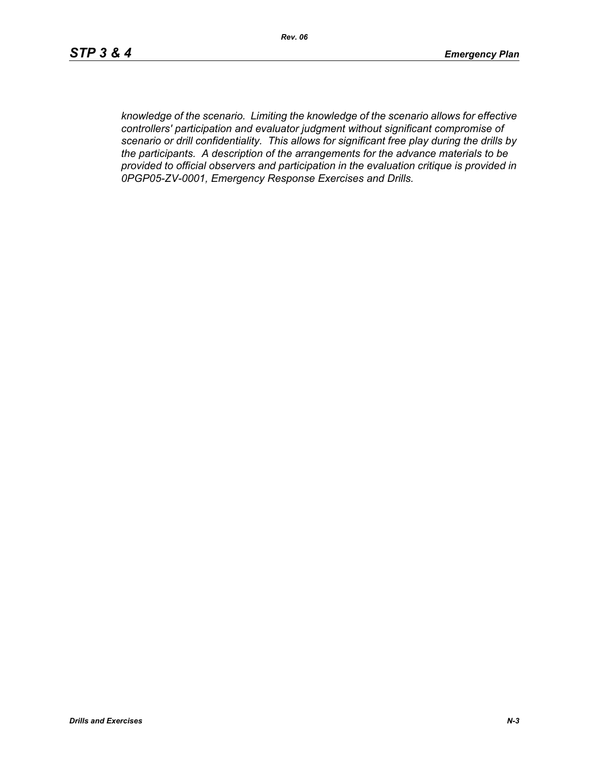*knowledge of the scenario. Limiting the knowledge of the scenario allows for effective controllers' participation and evaluator judgment without significant compromise of scenario or drill confidentiality. This allows for significant free play during the drills by the participants. A description of the arrangements for the advance materials to be provided to official observers and participation in the evaluation critique is provided in 0PGP05-ZV-0001, Emergency Response Exercises and Drills.*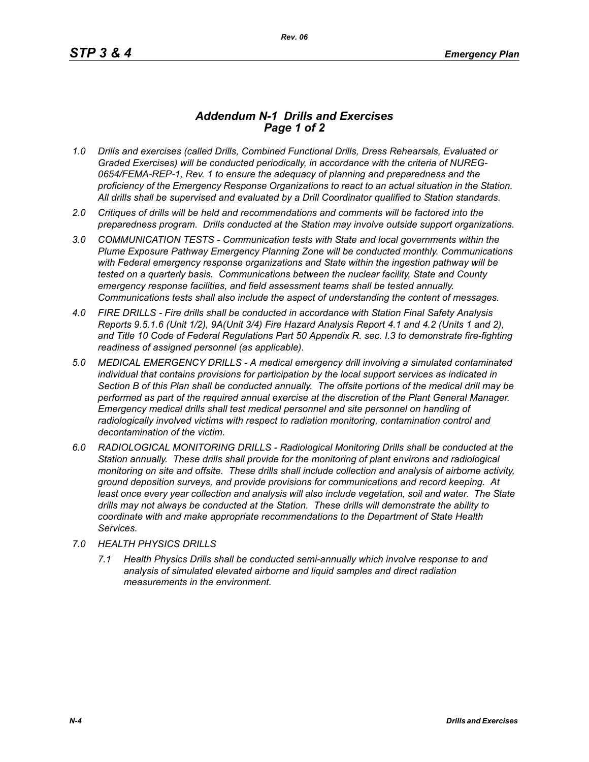## *Addendum N-1 Drills and Exercises Page 1 of 2*

- *1.0 Drills and exercises (called Drills, Combined Functional Drills, Dress Rehearsals, Evaluated or Graded Exercises) will be conducted periodically, in accordance with the criteria of NUREG-0654/FEMA-REP-1, Rev. 1 to ensure the adequacy of planning and preparedness and the proficiency of the Emergency Response Organizations to react to an actual situation in the Station. All drills shall be supervised and evaluated by a Drill Coordinator qualified to Station standards.*
- *2.0 Critiques of drills will be held and recommendations and comments will be factored into the preparedness program. Drills conducted at the Station may involve outside support organizations.*
- *3.0 COMMUNICATION TESTS Communication tests with State and local governments within the Plume Exposure Pathway Emergency Planning Zone will be conducted monthly. Communications with Federal emergency response organizations and State within the ingestion pathway will be tested on a quarterly basis. Communications between the nuclear facility, State and County emergency response facilities, and field assessment teams shall be tested annually. Communications tests shall also include the aspect of understanding the content of messages.*
- *4.0 FIRE DRILLS Fire drills shall be conducted in accordance with Station Final Safety Analysis Reports 9.5.1.6 (Unit 1/2), 9A(Unit 3/4) Fire Hazard Analysis Report 4.1 and 4.2 (Units 1 and 2), and Title 10 Code of Federal Regulations Part 50 Appendix R. sec. I.3 to demonstrate fire-fighting readiness of assigned personnel (as applicable).*
- *5.0 MEDICAL EMERGENCY DRILLS A medical emergency drill involving a simulated contaminated individual that contains provisions for participation by the local support services as indicated in Section B of this Plan shall be conducted annually. The offsite portions of the medical drill may be performed as part of the required annual exercise at the discretion of the Plant General Manager. Emergency medical drills shall test medical personnel and site personnel on handling of*  radiologically involved victims with respect to radiation monitoring, contamination control and *decontamination of the victim.*
- *6.0 RADIOLOGICAL MONITORING DRILLS Radiological Monitoring Drills shall be conducted at the Station annually. These drills shall provide for the monitoring of plant environs and radiological monitoring on site and offsite. These drills shall include collection and analysis of airborne activity, ground deposition surveys, and provide provisions for communications and record keeping. At*  least once every year collection and analysis will also include vegetation, soil and water. The State *drills may not always be conducted at the Station. These drills will demonstrate the ability to coordinate with and make appropriate recommendations to the Department of State Health Services.*
- *7.0 HEALTH PHYSICS DRILLS*
	- *7.1 Health Physics Drills shall be conducted semi-annually which involve response to and analysis of simulated elevated airborne and liquid samples and direct radiation measurements in the environment.*